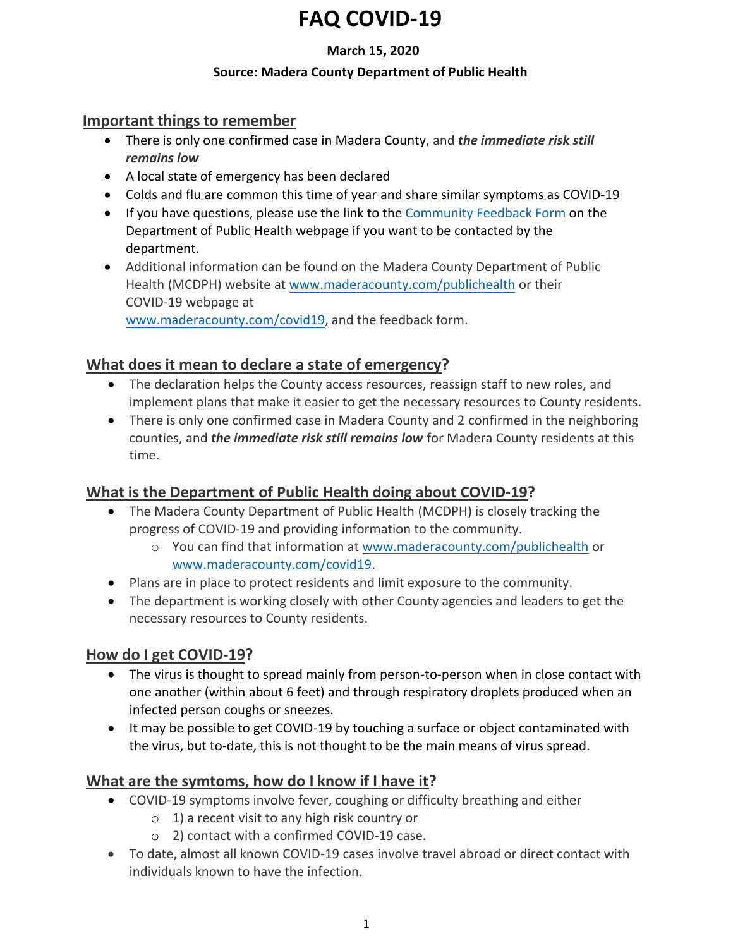#### **March 15, 2020**

#### **Source: Madera County Department of Public Health**

#### **Important things to remember**

- There is only one confirmed case in Madera County, and *the immediate risk still remains low*
- A local state of emergency has been declared
- Colds and flu are common this time of year and share similar symptoms as COVID-19
- If you have questions, please use the link to the [Community Feedback Form](https://www.maderacounty.com/government/public-health/health-updates/corona-virus/covid-19-faqs-and-community-feedback-form) on the Department of Public Health webpage if you want to be contacted by the department.
- Additional information can be found on the Madera County Department of Public Health (MCDPH) website at [www.maderacounty.com/publichealth](http://www.maderacounty.com/publichealth) or their COVID-19 webpage at [www.maderacounty.com/covid19,](http://www.maderacounty.com/covid19) and the feedback form.

**What does it mean to declare a state of emergency?**

- The declaration helps the County access resources, reassign staff to new roles, and implement plans that make it easier to get the necessary resources to County residents.
- There is only one confirmed case in Madera County and 2 confirmed in the neighboring counties, and *the immediate risk still remains low* for Madera County residents at this time.

## **What is the Department of Public Health doing about COVID-19?**

- The Madera County Department of Public Health (MCDPH) is closely tracking the progress of COVID-19 and providing information to the community.
	- o You can find that information a[t www.maderacounty.com/publichealth](http://www.maderacounty.com/publichealth) or [www.maderacounty.com/covid19.](http://www.maderacounty.com/covid19)
- Plans are in place to protect residents and limit exposure to the community.
- The department is working closely with other County agencies and leaders to get the necessary resources to County residents.

## **How do I get COVID-19?**

- The virus is thought to spread mainly from person-to-person when in close contact with one another (within about 6 feet) and through respiratory droplets produced when an infected person coughs or sneezes.
- It may be possible to get COVID-19 by touching a surface or object contaminated with the virus, but to-date, this is not thought to be the main means of virus spread.

## **What are the symtoms, how do I know if I have it?**

- COVID-19 symptoms involve fever, coughing or difficulty breathing and either
	- o 1) a recent visit to any high risk country or
	- o 2) contact with a confirmed COVID-19 case.
- To date, almost all known COVID-19 cases involve travel abroad or direct contact with individuals known to have the infection.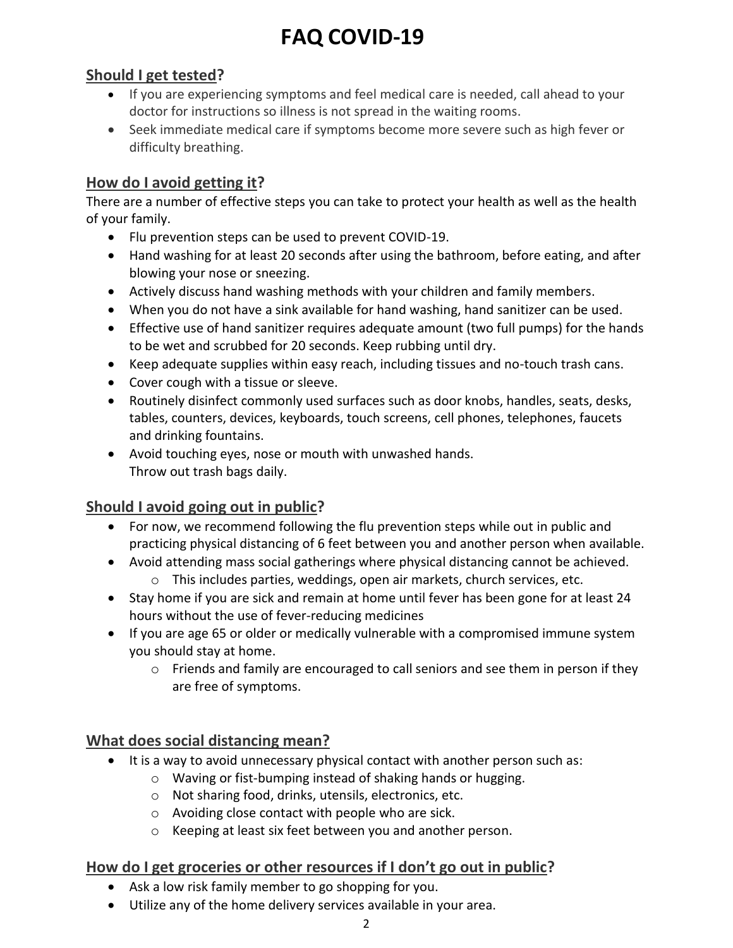## **Should I get tested?**

- If you are experiencing symptoms and feel medical care is needed, call ahead to your doctor for instructions so illness is not spread in the waiting rooms.
- Seek immediate medical care if symptoms become more severe such as high fever or difficulty breathing.

## **How do I avoid getting it?**

There are a number of effective steps you can take to protect your health as well as the health of your family.

- Flu prevention steps can be used to prevent COVID-19.
- Hand washing for at least 20 seconds after using the bathroom, before eating, and after blowing your nose or sneezing.
- Actively discuss hand washing methods with your children and family members.
- When you do not have a sink available for hand washing, hand sanitizer can be used.
- Effective use of hand sanitizer requires adequate amount (two full pumps) for the hands to be wet and scrubbed for 20 seconds. Keep rubbing until dry.
- Keep adequate supplies within easy reach, including tissues and no-touch trash cans.
- Cover cough with a tissue or sleeve.
- Routinely disinfect commonly used surfaces such as door knobs, handles, seats, desks, tables, counters, devices, keyboards, touch screens, cell phones, telephones, faucets and drinking fountains.
- Avoid touching eyes, nose or mouth with unwashed hands. Throw out trash bags daily.

## **Should I avoid going out in public?**

- For now, we recommend following the flu prevention steps while out in public and practicing physical distancing of 6 feet between you and another person when available.
- Avoid attending mass social gatherings where physical distancing cannot be achieved.
	- o This includes parties, weddings, open air markets, church services, etc.
- Stay home if you are sick and remain at home until fever has been gone for at least 24 hours without the use of fever-reducing medicines
- If you are age 65 or older or medically vulnerable with a compromised immune system you should stay at home.
	- $\circ$  Friends and family are encouraged to call seniors and see them in person if they are free of symptoms.

## **What does social distancing mean?**

- It is a way to avoid unnecessary physical contact with another person such as:
	- o Waving or fist-bumping instead of shaking hands or hugging.
	- o Not sharing food, drinks, utensils, electronics, etc.
	- o Avoiding close contact with people who are sick.
	- o Keeping at least six feet between you and another person.

## **How do I get groceries or other resources if I don't go out in public?**

- Ask a low risk family member to go shopping for you.
- Utilize any of the home delivery services available in your area.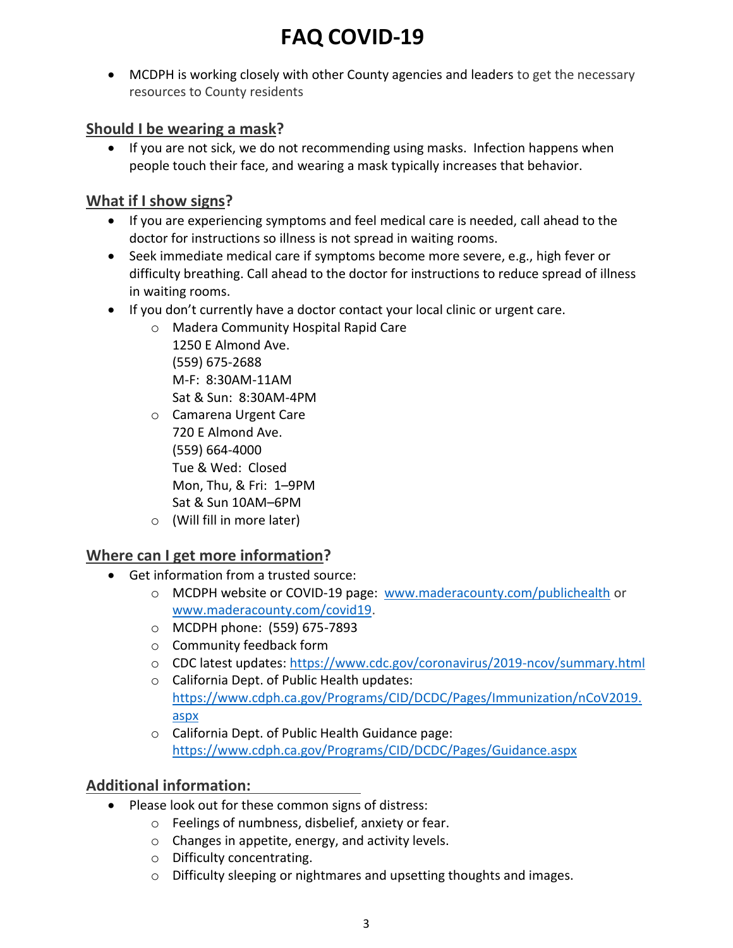MCDPH is working closely with other County agencies and leaders to get the necessary resources to County residents

## **Should I be wearing a mask?**

• If you are not sick, we do not recommending using masks. Infection happens when people touch their face, and wearing a mask typically increases that behavior.

## **What if I show signs?**

- If you are experiencing symptoms and feel medical care is needed, call ahead to the doctor for instructions so illness is not spread in waiting rooms.
- Seek immediate medical care if symptoms become more severe, e.g., high fever or difficulty breathing. Call ahead to the doctor for instructions to reduce spread of illness in waiting rooms.
- If you don't currently have a doctor contact your local clinic or urgent care.
	- o Madera Community Hospital Rapid Care

1250 E Almond Ave. (559) 675-2688 M-F: 8:30AM-11AM Sat & Sun: 8:30AM-4PM

- o Camarena Urgent Care 720 E Almond Ave. (559) 664-4000 Tue & Wed: Closed Mon, Thu, & Fri: 1–9PM Sat & Sun 10AM–6PM
- o (Will fill in more later)

## **Where can I get more information?**

- Get information from a trusted source:
	- o MCDPH website or COVID-19 page: [www.maderacounty.com/publichealth](http://www.maderacounty.com/publichealth) or [www.maderacounty.com/covid19.](http://www.maderacounty.com/covid19)
	- o MCDPH phone: (559) 675-7893
	- o Community feedback form
	- o CDC latest updates:<https://www.cdc.gov/coronavirus/2019-ncov/summary.html>
	- o California Dept. of Public Health updates: [https://www.cdph.ca.gov/Programs/CID/DCDC/Pages/Immunization/nCoV2019.](https://www.cdph.ca.gov/Programs/CID/DCDC/Pages/Immunization/nCoV2019.aspx) aspx
	- o California Dept. of Public Health Guidance page: <https://www.cdph.ca.gov/Programs/CID/DCDC/Pages/Guidance.aspx>

## **Additional information:**

- Please look out for these common signs of distress:
	- o Feelings of numbness, disbelief, anxiety or fear.
	- o Changes in appetite, energy, and activity levels.
	- o Difficulty concentrating.
	- o Difficulty sleeping or nightmares and upsetting thoughts and images.